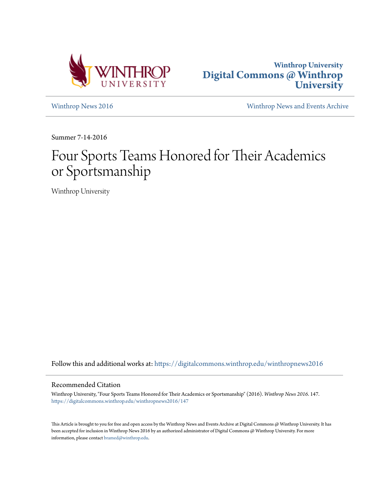



[Winthrop News 2016](https://digitalcommons.winthrop.edu/winthropnews2016?utm_source=digitalcommons.winthrop.edu%2Fwinthropnews2016%2F147&utm_medium=PDF&utm_campaign=PDFCoverPages) [Winthrop News and Events Archive](https://digitalcommons.winthrop.edu/winthropnewsarchives?utm_source=digitalcommons.winthrop.edu%2Fwinthropnews2016%2F147&utm_medium=PDF&utm_campaign=PDFCoverPages)

Summer 7-14-2016

# Four Sports Teams Honored for Their Academics or Sportsmanship

Winthrop University

Follow this and additional works at: [https://digitalcommons.winthrop.edu/winthropnews2016](https://digitalcommons.winthrop.edu/winthropnews2016?utm_source=digitalcommons.winthrop.edu%2Fwinthropnews2016%2F147&utm_medium=PDF&utm_campaign=PDFCoverPages)

### Recommended Citation

Winthrop University, "Four Sports Teams Honored for Their Academics or Sportsmanship" (2016). *Winthrop News 2016*. 147. [https://digitalcommons.winthrop.edu/winthropnews2016/147](https://digitalcommons.winthrop.edu/winthropnews2016/147?utm_source=digitalcommons.winthrop.edu%2Fwinthropnews2016%2F147&utm_medium=PDF&utm_campaign=PDFCoverPages)

This Article is brought to you for free and open access by the Winthrop News and Events Archive at Digital Commons @ Winthrop University. It has been accepted for inclusion in Winthrop News 2016 by an authorized administrator of Digital Commons @ Winthrop University. For more information, please contact [bramed@winthrop.edu](mailto:bramed@winthrop.edu).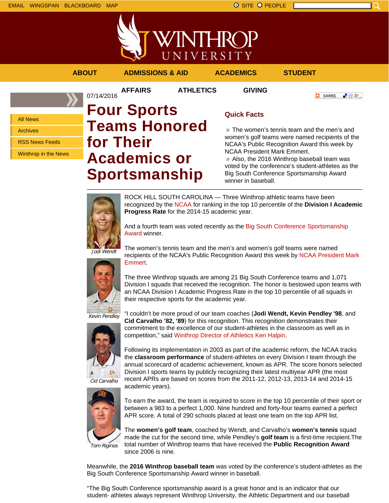

**AFFAIRS ATHLETICS GIVING**

**ABOUT ADMISSIONS & AID ACADEMICS STUDENT**

**O** SHARE - 89 年 -

All News

Archives

RSS News Feeds

Winthrop in the News

## 07/14/2016 **Four Sports Teams Honored for Their Academics or Sportsmanship**

### **Quick Facts**

**The women's tennis team and the men's and** women's golf teams were named recipients of the NCAA's Public Recognition Award this week by NCAA President Mark Emmert.

Also, the 2016 Winthrop baseball team was voted by the conference's student-athletes as the Big South Conference Sportsmanship Award winner in baseball.



ROCK HILL SOUTH CAROLINA — Three Winthrop athletic teams have been recognized by the NCAA for ranking in the top 10 percentile of the **Division I Academic Progress Rate** for the 2014-15 academic year.

And a fourth team was voted recently as the Big South Conference Sportsmanship Award winner.

Jodi Wendt



The women's tennis team and the men's and women's golf teams were named recipients of the NCAA's Public Recognition Award this week by NCAA President Mark Emmert.

The three Winthrop squads are among 21 Big South Conference teams and 1,071 Division I squads that received the recognition. The honor is bestowed upon teams with an NCAA Division I Academic Progress Rate in the top 10 percentile of all squads in their respective sports for the academic year.

Kevin Pendley



"I couldn't be more proud of our team coaches (**Jodi Wendt, Kevin Pendley '98**, and **Cid Carvalho '82, '89**) for this recognition. This recognition demonstrates their commitment to the excellence of our student-athletes in the classroom as well as in competition," said Winthrop Director of Athletics Ken Halpin.

Following its implementation in 2003 as part of the academic reform, the NCAA tracks the **classroom performance** of student-athletes on every Division I team through the annual scorecard of academic achievement, known as APR. The score honors selected Division I sports teams by publicly recognizing their latest multiyear APR (the most recent APRs are based on scores from the 2011-12, 2012-13, 2013-14 and 2014-15 academic years).



To earn the award, the team is required to score in the top 10 percentile of their sport or between a 983 to a perfect 1,000. Nine hundred and forty-four teams earned a perfect APR score. A total of 290 schools placed at least one team on the top APR list.

Tom Riginos

The **women's golf team**, coached by Wendt, and Carvalho's **women's tennis** squad made the cut for the second time, while Pendley's **golf team** is a first-time recipient.The total number of Winthrop teams that have received the **Public Recognition Award** since 2006 is nine.

Meanwhile, the **2016 Winthrop baseball team** was voted by the conference's student-athletes as the Big South Conference Sportsmanship Award winner in baseball.

"The Big South Conference sportsmanship award is a great honor and is an indicator that our student- athletes always represent Winthrop University, the Athletic Department and our baseball